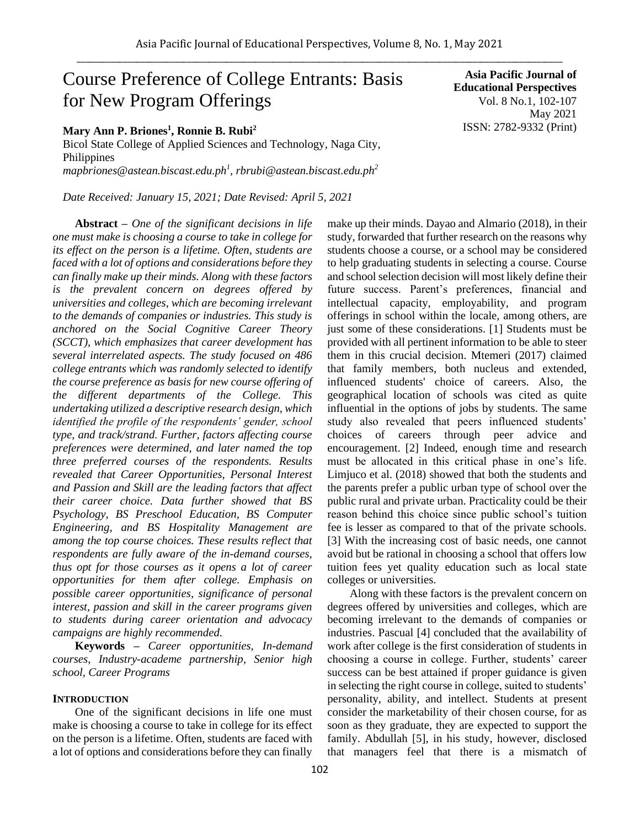# Course Preference of College Entrants: Basis for New Program Offerings

# **Mary Ann P. Briones<sup>1</sup> , Ronnie B. Rubi<sup>2</sup>**

Bicol State College of Applied Sciences and Technology, Naga City, Philippines *mapbriones@astean.biscast.edu.ph<sup>1</sup> , rbrubi@astean.biscast.edu.ph<sup>2</sup>*

*Date Received: January 15, 2021; Date Revised: April 5, 2021*

**Abstract** *– One of the significant decisions in life one must make is choosing a course to take in college for its effect on the person is a lifetime. Often, students are faced with a lot of options and considerations before they can finally make up their minds. Along with these factors is the prevalent concern on degrees offered by universities and colleges, which are becoming irrelevant to the demands of companies or industries. This study is anchored on the Social Cognitive Career Theory (SCCT), which emphasizes that career development has several interrelated aspects. The study focused on 486 college entrants which was randomly selected to identify the course preference as basis for new course offering of the different departments of the College. This undertaking utilized a descriptive research design, which identified the profile of the respondents' gender, school type, and track/strand. Further, factors affecting course preferences were determined, and later named the top three preferred courses of the respondents. Results revealed that Career Opportunities, Personal Interest and Passion and Skill are the leading factors that affect their career choice. Data further showed that BS Psychology, BS Preschool Education, BS Computer Engineering, and BS Hospitality Management are among the top course choices. These results reflect that respondents are fully aware of the in-demand courses, thus opt for those courses as it opens a lot of career opportunities for them after college. Emphasis on possible career opportunities, significance of personal interest, passion and skill in the career programs given to students during career orientation and advocacy campaigns are highly recommended.* 

**Keywords** *– Career opportunities, In-demand courses, Industry-academe partnership, Senior high school, Career Programs* 

## **INTRODUCTION**

One of the significant decisions in life one must make is choosing a course to take in college for its effect on the person is a lifetime. Often, students are faced with a lot of options and considerations before they can finally

**Educational Perspectives**  Vol. 8 No.1, 102-107 May 2021 ISSN: 2782-9332 (Print) make up their minds. Dayao and Almario (2018), in their

**Asia Pacific Journal of** 

study, forwarded that further research on the reasons why students choose a course, or a school may be considered to help graduating students in selecting a course. Course and school selection decision will most likely define their future success. Parent's preferences, financial and intellectual capacity, employability, and program offerings in school within the locale, among others, are just some of these considerations. [1] Students must be provided with all pertinent information to be able to steer them in this crucial decision. Mtemeri (2017) claimed that family members, both nucleus and extended, influenced students' choice of careers. Also, the geographical location of schools was cited as quite influential in the options of jobs by students. The same study also revealed that peers influenced students' choices of careers through peer advice and encouragement. [2] Indeed, enough time and research must be allocated in this critical phase in one's life. Limjuco et al. (2018) showed that both the students and the parents prefer a public urban type of school over the public rural and private urban. Practicality could be their reason behind this choice since public school's tuition fee is lesser as compared to that of the private schools. [3] With the increasing cost of basic needs, one cannot avoid but be rational in choosing a school that offers low tuition fees yet quality education such as local state colleges or universities.

Along with these factors is the prevalent concern on degrees offered by universities and colleges, which are becoming irrelevant to the demands of companies or industries. Pascual [4] concluded that the availability of work after college is the first consideration of students in choosing a course in college. Further, students' career success can be best attained if proper guidance is given in selecting the right course in college, suited to students' personality, ability, and intellect. Students at present consider the marketability of their chosen course, for as soon as they graduate, they are expected to support the family. Abdullah [5], in his study, however, disclosed that managers feel that there is a mismatch of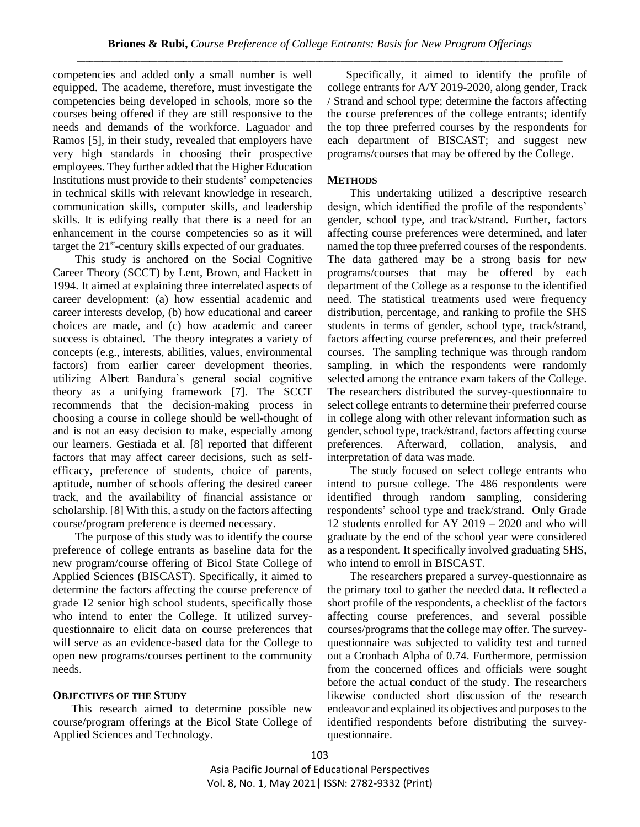competencies and added only a small number is well equipped. The academe, therefore, must investigate the competencies being developed in schools, more so the courses being offered if they are still responsive to the needs and demands of the workforce. Laguador and Ramos [5], in their study, revealed that employers have very high standards in choosing their prospective employees. They further added that the Higher Education Institutions must provide to their students' competencies in technical skills with relevant knowledge in research, communication skills, computer skills, and leadership skills. It is edifying really that there is a need for an enhancement in the course competencies so as it will target the 21<sup>st</sup>-century skills expected of our graduates.

This study is anchored on the Social Cognitive Career Theory (SCCT) by Lent, Brown, and Hackett in 1994. It aimed at explaining three interrelated aspects of career development: (a) how essential academic and career interests develop, (b) how educational and career choices are made, and (c) how academic and career success is obtained. The theory integrates a variety of concepts (e.g., interests, abilities, values, environmental factors) from earlier career development theories, utilizing Albert Bandura's general social cognitive theory as a unifying framework [7]. The SCCT recommends that the decision-making process in choosing a course in college should be well-thought of and is not an easy decision to make, especially among our learners. Gestiada et al. [8] reported that different factors that may affect career decisions, such as selfefficacy, preference of students, choice of parents, aptitude, number of schools offering the desired career track, and the availability of financial assistance or scholarship. [8] With this, a study on the factors affecting course/program preference is deemed necessary.

The purpose of this study was to identify the course preference of college entrants as baseline data for the new program/course offering of Bicol State College of Applied Sciences (BISCAST). Specifically, it aimed to determine the factors affecting the course preference of grade 12 senior high school students, specifically those who intend to enter the College. It utilized surveyquestionnaire to elicit data on course preferences that will serve as an evidence-based data for the College to open new programs/courses pertinent to the community needs.

## **OBJECTIVES OF THE STUDY**

This research aimed to determine possible new course/program offerings at the Bicol State College of Applied Sciences and Technology.

Specifically, it aimed to identify the profile of college entrants for A/Y 2019-2020, along gender, Track / Strand and school type; determine the factors affecting the course preferences of the college entrants; identify the top three preferred courses by the respondents for each department of BISCAST; and suggest new programs/courses that may be offered by the College.

# **METHODS**

This undertaking utilized a descriptive research design, which identified the profile of the respondents' gender, school type, and track/strand. Further, factors affecting course preferences were determined, and later named the top three preferred courses of the respondents. The data gathered may be a strong basis for new programs/courses that may be offered by each department of the College as a response to the identified need. The statistical treatments used were frequency distribution, percentage, and ranking to profile the SHS students in terms of gender, school type, track/strand, factors affecting course preferences, and their preferred courses. The sampling technique was through random sampling, in which the respondents were randomly selected among the entrance exam takers of the College. The researchers distributed the survey-questionnaire to select college entrants to determine their preferred course in college along with other relevant information such as gender, school type, track/strand, factors affecting course preferences. Afterward, collation, analysis, and interpretation of data was made.

The study focused on select college entrants who intend to pursue college. The 486 respondents were identified through random sampling, considering respondents' school type and track/strand. Only Grade 12 students enrolled for AY 2019 – 2020 and who will graduate by the end of the school year were considered as a respondent. It specifically involved graduating SHS, who intend to enroll in BISCAST.

The researchers prepared a survey-questionnaire as the primary tool to gather the needed data. It reflected a short profile of the respondents, a checklist of the factors affecting course preferences, and several possible courses/programs that the college may offer. The surveyquestionnaire was subjected to validity test and turned out a Cronbach Alpha of 0.74. Furthermore, permission from the concerned offices and officials were sought before the actual conduct of the study. The researchers likewise conducted short discussion of the research endeavor and explained its objectives and purposes to the identified respondents before distributing the surveyquestionnaire.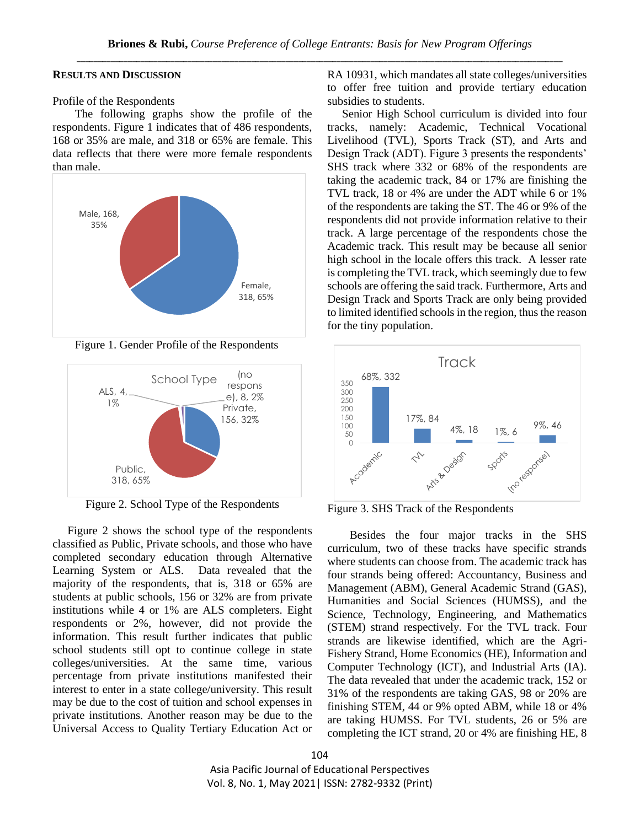# **RESULTS AND DISCUSSION**

Profile of the Respondents

The following graphs show the profile of the respondents. Figure 1 indicates that of 486 respondents, 168 or 35% are male, and 318 or 65% are female. This data reflects that there were more female respondents than male.



Figure 1. Gender Profile of the Respondents



Figure 2. School Type of the Respondents

Figure 2 shows the school type of the respondents classified as Public, Private schools, and those who have completed secondary education through Alternative Learning System or ALS. Data revealed that the majority of the respondents, that is, 318 or 65% are students at public schools, 156 or 32% are from private institutions while 4 or 1% are ALS completers. Eight respondents or 2%, however, did not provide the information. This result further indicates that public school students still opt to continue college in state colleges/universities. At the same time, various percentage from private institutions manifested their interest to enter in a state college/university. This result may be due to the cost of tuition and school expenses in private institutions. Another reason may be due to the Universal Access to Quality Tertiary Education Act or RA 10931, which mandates all state colleges/universities to offer free tuition and provide tertiary education subsidies to students.

Senior High School curriculum is divided into four tracks, namely: Academic, Technical Vocational Livelihood (TVL), Sports Track (ST), and Arts and Design Track (ADT). Figure 3 presents the respondents' SHS track where 332 or 68% of the respondents are taking the academic track, 84 or 17% are finishing the TVL track, 18 or 4% are under the ADT while 6 or 1% of the respondents are taking the ST. The 46 or 9% of the respondents did not provide information relative to their track. A large percentage of the respondents chose the Academic track. This result may be because all senior high school in the locale offers this track. A lesser rate is completing the TVL track, which seemingly due to few schools are offering the said track. Furthermore, Arts and Design Track and Sports Track are only being provided to limited identified schools in the region, thus the reason for the tiny population.



Figure 3. SHS Track of the Respondents

Besides the four major tracks in the SHS curriculum, two of these tracks have specific strands where students can choose from. The academic track has four strands being offered: Accountancy, Business and Management (ABM), General Academic Strand (GAS), Humanities and Social Sciences (HUMSS), and the Science, Technology, Engineering, and Mathematics (STEM) strand respectively. For the TVL track. Four strands are likewise identified, which are the Agri-Fishery Strand, Home Economics (HE), Information and Computer Technology (ICT), and Industrial Arts (IA). The data revealed that under the academic track, 152 or 31% of the respondents are taking GAS, 98 or 20% are finishing STEM, 44 or 9% opted ABM, while 18 or 4% are taking HUMSS. For TVL students, 26 or 5% are completing the ICT strand, 20 or 4% are finishing HE, 8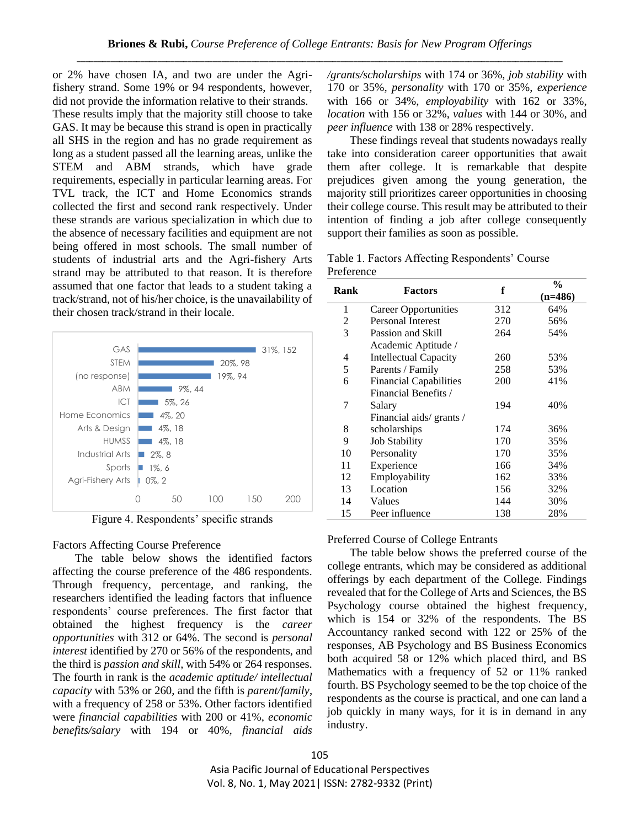or 2% have chosen IA, and two are under the Agrifishery strand. Some 19% or 94 respondents, however, did not provide the information relative to their strands. These results imply that the majority still choose to take GAS. It may be because this strand is open in practically all SHS in the region and has no grade requirement as long as a student passed all the learning areas, unlike the STEM and ABM strands, which have grade requirements, especially in particular learning areas. For TVL track, the ICT and Home Economics strands collected the first and second rank respectively. Under these strands are various specialization in which due to the absence of necessary facilities and equipment are not being offered in most schools. The small number of students of industrial arts and the Agri-fishery Arts strand may be attributed to that reason. It is therefore assumed that one factor that leads to a student taking a track/strand, not of his/her choice, is the unavailability of their chosen track/strand in their locale.



Figure 4. Respondents' specific strands

Factors Affecting Course Preference

The table below shows the identified factors affecting the course preference of the 486 respondents. Through frequency, percentage, and ranking, the researchers identified the leading factors that influence respondents' course preferences. The first factor that obtained the highest frequency is the *career opportunities* with 312 or 64%. The second is *personal interest* identified by 270 or 56% of the respondents, and the third is *passion and skill*, with 54% or 264 responses. The fourth in rank is the *academic aptitude/ intellectual capacity* with 53% or 260, and the fifth is *parent/family*, with a frequency of 258 or 53%. Other factors identified were *financial capabilities* with 200 or 41%, *economic benefits/salary* with 194 or 40%, *financial aids*  */grants/scholarships* with 174 or 36%, *job stability* with 170 or 35%, *personality* with 170 or 35%, *experience*  with 166 or 34%, *employability* with 162 or 33%, *location* with 156 or 32%, *values* with 144 or 30%, and *peer influence* with 138 or 28% respectively.

These findings reveal that students nowadays really take into consideration career opportunities that await them after college. It is remarkable that despite prejudices given among the young generation, the majority still prioritizes career opportunities in choosing their college course. This result may be attributed to their intention of finding a job after college consequently support their families as soon as possible.

Table 1. Factors Affecting Respondents' Course Preference

| Rank | <b>Factors</b>                | f   | $\frac{6}{9}$ |
|------|-------------------------------|-----|---------------|
|      |                               |     | $(n=486)$     |
| 1    | Career Opportunities          | 312 | 64%           |
| 2    | <b>Personal Interest</b>      | 270 | 56%           |
| 3    | Passion and Skill             | 264 | 54%           |
|      | Academic Aptitude /           |     |               |
| 4    | <b>Intellectual Capacity</b>  | 260 | 53%           |
| 5    | Parents / Family              | 258 | 53%           |
| 6    | <b>Financial Capabilities</b> | 200 | 41%           |
|      | Financial Benefits /          |     |               |
| 7    | Salary                        | 194 | 40%           |
|      | Financial aids/ grants /      |     |               |
| 8    | scholarships                  | 174 | 36%           |
| 9    | <b>Job Stability</b>          | 170 | 35%           |
| 10   | Personality                   | 170 | 35%           |
| 11   | Experience                    | 166 | 34%           |
| 12   | Employability                 | 162 | 33%           |
| 13   | Location                      | 156 | 32%           |
| 14   | Values                        | 144 | 30%           |
| 15   | Peer influence                | 138 | 28%           |

#### Preferred Course of College Entrants

The table below shows the preferred course of the college entrants, which may be considered as additional offerings by each department of the College. Findings revealed that for the College of Arts and Sciences, the BS Psychology course obtained the highest frequency, which is 154 or 32% of the respondents. The BS Accountancy ranked second with 122 or 25% of the responses, AB Psychology and BS Business Economics both acquired 58 or 12% which placed third, and BS Mathematics with a frequency of 52 or 11% ranked fourth. BS Psychology seemed to be the top choice of the respondents as the course is practical, and one can land a job quickly in many ways, for it is in demand in any industry.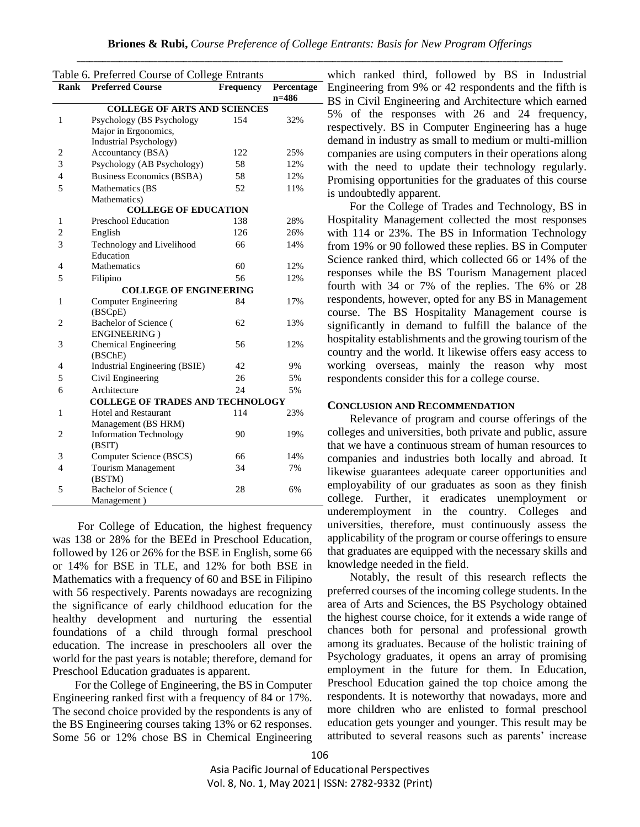| Table 6. Preferred Course of College Entrants |                                         |                  |            |  |  |
|-----------------------------------------------|-----------------------------------------|------------------|------------|--|--|
| Rank                                          | <b>Preferred Course</b>                 | <b>Frequency</b> | Percentage |  |  |
|                                               |                                         |                  | $n=486$    |  |  |
| <b>COLLEGE OF ARTS AND SCIENCES</b>           |                                         |                  |            |  |  |
| $\mathbf{1}$                                  | Psychology (BS Psychology               | 154              | 32%        |  |  |
|                                               | Major in Ergonomics,                    |                  |            |  |  |
|                                               | Industrial Psychology)                  |                  |            |  |  |
| $\overline{2}$                                | Accountancy (BSA)                       | 122              | 25%        |  |  |
| 3                                             | Psychology (AB Psychology)              | 58               | 12%        |  |  |
| $\overline{4}$                                | <b>Business Economics (BSBA)</b>        | 58               | 12%        |  |  |
| 5                                             | Mathematics (BS                         | 52               | 11%        |  |  |
|                                               | Mathematics)                            |                  |            |  |  |
| <b>COLLEGE OF EDUCATION</b>                   |                                         |                  |            |  |  |
| 1                                             | <b>Preschool Education</b>              | 138              | 28%        |  |  |
| $\overline{2}$                                | English                                 | 126              | 26%        |  |  |
| 3                                             | Technology and Livelihood               | 66               | 14%        |  |  |
|                                               | Education                               |                  |            |  |  |
| 4                                             | Mathematics                             | 60               | 12%        |  |  |
| 5                                             | Filipino                                | 56               | 12%        |  |  |
|                                               | <b>COLLEGE OF ENGINEERING</b>           |                  |            |  |  |
| 1                                             | <b>Computer Engineering</b>             | 84               | 17%        |  |  |
|                                               | (BSC <sub>pE</sub> )                    |                  |            |  |  |
| 2                                             | Bachelor of Science (                   | 62               | 13%        |  |  |
|                                               | <b>ENGINEERING</b> )                    |                  |            |  |  |
| 3                                             | <b>Chemical Engineering</b>             | 56               | 12%        |  |  |
|                                               | (BSChE)                                 |                  |            |  |  |
| 4                                             | Industrial Engineering (BSIE)           | 42               | 9%         |  |  |
| 5                                             | Civil Engineering                       | 26               | 5%         |  |  |
| 6                                             | Architecture                            | 24               | 5%         |  |  |
|                                               | <b>COLLEGE OF TRADES AND TECHNOLOGY</b> |                  |            |  |  |
| 1                                             | <b>Hotel and Restaurant</b>             | 114              | 23%        |  |  |
|                                               | Management (BS HRM)                     |                  |            |  |  |
| 2                                             | <b>Information Technology</b>           | 90               | 19%        |  |  |
|                                               | (BSIT)                                  |                  |            |  |  |
| 3                                             | Computer Science (BSCS)                 | 66               | 14%        |  |  |
| $\overline{4}$                                | <b>Tourism Management</b>               | 34               | 7%         |  |  |
|                                               | (BSTM)                                  |                  |            |  |  |
| 5                                             | Bachelor of Science (                   | 28               | 6%         |  |  |
|                                               | Management)                             |                  |            |  |  |

For College of Education, the highest frequency was 138 or 28% for the BEEd in Preschool Education, followed by 126 or 26% for the BSE in English, some 66 or 14% for BSE in TLE, and 12% for both BSE in Mathematics with a frequency of 60 and BSE in Filipino with 56 respectively. Parents nowadays are recognizing the significance of early childhood education for the healthy development and nurturing the essential foundations of a child through formal preschool education. The increase in preschoolers all over the world for the past years is notable; therefore, demand for Preschool Education graduates is apparent.

For the College of Engineering, the BS in Computer Engineering ranked first with a frequency of 84 or 17%. The second choice provided by the respondents is any of the BS Engineering courses taking 13% or 62 responses. Some 56 or 12% chose BS in Chemical Engineering

which ranked third, followed by BS in Industrial Engineering from 9% or 42 respondents and the fifth is BS in Civil Engineering and Architecture which earned 5% of the responses with 26 and 24 frequency, respectively. BS in Computer Engineering has a huge demand in industry as small to medium or multi-million companies are using computers in their operations along with the need to update their technology regularly. Promising opportunities for the graduates of this course is undoubtedly apparent.

For the College of Trades and Technology, BS in Hospitality Management collected the most responses with 114 or 23%. The BS in Information Technology from 19% or 90 followed these replies. BS in Computer Science ranked third, which collected 66 or 14% of the responses while the BS Tourism Management placed fourth with 34 or 7% of the replies. The 6% or 28 respondents, however, opted for any BS in Management course. The BS Hospitality Management course is significantly in demand to fulfill the balance of the hospitality establishments and the growing tourism of the country and the world. It likewise offers easy access to working overseas, mainly the reason why most respondents consider this for a college course.

#### **CONCLUSION AND RECOMMENDATION**

Relevance of program and course offerings of the colleges and universities, both private and public, assure that we have a continuous stream of human resources to companies and industries both locally and abroad. It likewise guarantees adequate career opportunities and employability of our graduates as soon as they finish college. Further, it eradicates unemployment or underemployment in the country. Colleges and universities, therefore, must continuously assess the applicability of the program or course offerings to ensure that graduates are equipped with the necessary skills and knowledge needed in the field.

Notably, the result of this research reflects the preferred courses of the incoming college students. In the area of Arts and Sciences, the BS Psychology obtained the highest course choice, for it extends a wide range of chances both for personal and professional growth among its graduates. Because of the holistic training of Psychology graduates, it opens an array of promising employment in the future for them. In Education, Preschool Education gained the top choice among the respondents. It is noteworthy that nowadays, more and more children who are enlisted to formal preschool education gets younger and younger. This result may be attributed to several reasons such as parents' increase